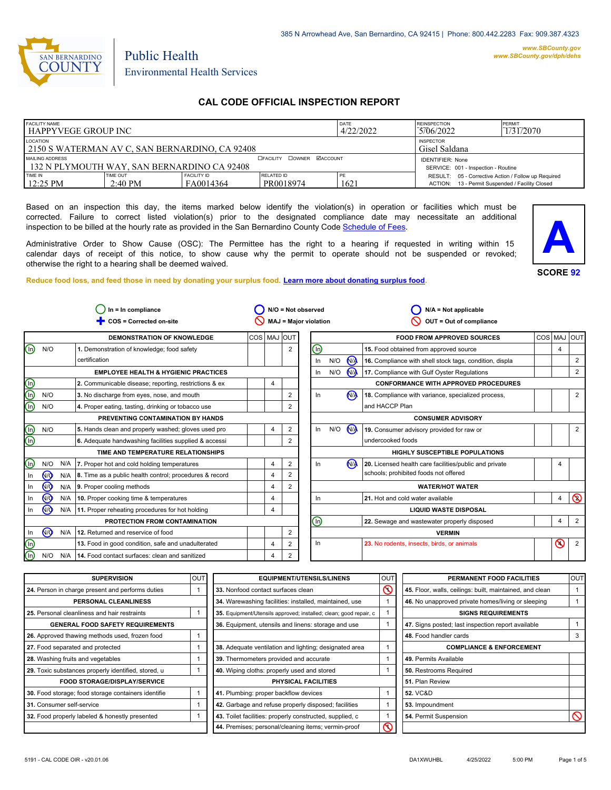

*www.SBCounty.gov [www.SBCounty.gov/dph/dehs](http://www.sbcounty.gov/dph/ehsportal)*

# Public Health Environmental Health Services

# **CAL CODE OFFICIAL INSPECTION REPORT**

| <b>FACILITY NAME</b><br>l HAPPYVEGE GROUP INC                                                   |                               |                                  | DATE<br>4/22/2022                                              | <b>REINSPECTION</b><br>5706/2022 | PERMIT<br>1/31/2070                                                                                    |  |  |
|-------------------------------------------------------------------------------------------------|-------------------------------|----------------------------------|----------------------------------------------------------------|----------------------------------|--------------------------------------------------------------------------------------------------------|--|--|
| LOCATION<br><b>INSPECTOR</b><br>2150 S WATERMAN AV C, SAN BERNARDINO, CA 92408<br>Gisel Saldana |                               |                                  |                                                                |                                  |                                                                                                        |  |  |
| MAILING ADDRESS<br>132 N PLYMOUTH WAY, SAN BERNARDINO CA 92408                                  |                               | <b>OFACILITY COWNER MACCOUNT</b> | <b>IDENTIFIER: None</b><br>SERVICE: 001 - Inspection - Routine |                                  |                                                                                                        |  |  |
| TIME IN<br>$12:25$ PM                                                                           | TIME OUT<br>$2:40 \text{ PM}$ | <b>FACILITY ID</b><br>FA0014364  | <b>RELATED ID</b><br>PR0018974                                 | ' PE<br>1621                     | RESULT: 05 - Corrective Action / Follow up Required<br>ACTION: 13 - Permit Suspended / Facility Closed |  |  |

Based on an inspection this day, the items marked below identify the violation(s) in operation or facilities which must be corrected. Failure to correct listed violation(s) prior to the designated compliance date may necessitate an additional inspection to be billed at the hourly rate as provided in the San Bernardino County Co[de Schedule of Fees.](https://codelibrary.amlegal.com/codes/sanbernardino/latest/sanberncty_ca/0-0-0-122474#JD_16.0213B)

Administrative Order to Show Cause (OSC): The Permittee has the right to a hearing if requested in writing within 15 calendar days of receipt of this notice, to show cause why the permit to operate should not be suspended or revoked; otherwise the right to a hearing shall be deemed waived.

**SCORE 92 A**

**Reduce food loss, and feed those in need by donating your surplus f[ood. Learn more about donating surplus food.](https://wp.sbcounty.gov/dph/programs/ehs/charitable-food-service/)**

| $In = In$ compliance      |                      |     | $N/O = Not observed$                                    |             |   | $N/A = Not applicable$       |                              |     |                |                                                         |            |            |                |
|---------------------------|----------------------|-----|---------------------------------------------------------|-------------|---|------------------------------|------------------------------|-----|----------------|---------------------------------------------------------|------------|------------|----------------|
|                           |                      |     | COS = Corrected on-site                                 |             |   | <b>MAJ = Major violation</b> |                              |     |                | OUT = Out of compliance                                 |            |            |                |
|                           |                      |     | <b>DEMONSTRATION OF KNOWLEDGE</b>                       | COS MAJ OUT |   |                              |                              |     |                | <b>FOOD FROM APPROVED SOURCES</b>                       | <b>COS</b> | <b>MAJ</b> | loutl          |
| ⋒                         | N/O                  |     | 1. Demonstration of knowledge; food safety              |             |   | $\overline{2}$               | ⋒                            |     |                | 15. Food obtained from approved source                  |            | 4          |                |
|                           |                      |     | certification                                           |             |   |                              | In                           | N/O | <b>NA</b>      | 16. Compliance with shell stock tags, condition, displa |            |            | 2              |
|                           |                      |     | <b>EMPLOYEE HEALTH &amp; HYGIENIC PRACTICES</b>         |             |   |                              | In                           | N/O | $\bigwedge$    | 17. Compliance with Gulf Oyster Regulations             |            |            | 2              |
|                           |                      |     | 2. Communicable disease; reporting, restrictions & ex   |             | 4 |                              |                              |     |                | <b>CONFORMANCE WITH APPROVED PROCEDURES</b>             |            |            |                |
| $\overline{\mathbb{O}}$   | N/O                  |     | 3. No discharge from eyes, nose, and mouth              |             |   | $\overline{\mathbf{c}}$      | In                           |     | N <sub>1</sub> | 18. Compliance with variance, specialized process,      |            |            | 2              |
| $\overline{\mathbb{D}}$   | N/O                  |     | 4. Proper eating, tasting, drinking or tobacco use      |             |   | $\overline{2}$               |                              |     |                | and HACCP Plan                                          |            |            |                |
|                           |                      |     | PREVENTING CONTAMINATION BY HANDS                       |             |   |                              |                              |     |                | <b>CONSUMER ADVISORY</b>                                |            |            |                |
| $^\copyright$             | N/O                  |     | 5. Hands clean and properly washed; gloves used pro     |             | 4 | 2                            | In                           | N/O | <b>NA</b>      | 19. Consumer advisory provided for raw or               |            |            | 2              |
| ⊕                         |                      |     | 6. Adequate handwashing facilities supplied & accessi   |             |   | $\overline{2}$               |                              |     |                | undercooked foods                                       |            |            |                |
|                           |                      |     | TIME AND TEMPERATURE RELATIONSHIPS                      |             |   |                              |                              |     |                | <b>HIGHLY SUSCEPTIBLE POPULATIONS</b>                   |            |            |                |
| $^\text{\textregistered}$ | N/O                  | N/A | 7. Proper hot and cold holding temperatures             |             | 4 | 2                            | In.                          |     | N <sub>1</sub> | 20. Licensed health care facilities/public and private  |            | 4          |                |
| In                        | N <sub>O</sub>       | N/A | 8. Time as a public health control; procedures & record |             | 4 | $\overline{\mathbf{c}}$      |                              |     |                | schools; prohibited foods not offered                   |            |            |                |
| In                        | <b>N<sub>O</sub></b> | N/A | 9. Proper cooling methods                               |             | 4 | 2                            |                              |     |                | <b>WATER/HOT WATER</b>                                  |            |            |                |
| In                        | N <sub>O</sub>       | N/A | 10. Proper cooking time & temperatures                  |             | 4 |                              | In                           |     |                | 21. Hot and cold water available                        |            | 4          | $\circledcirc$ |
| In                        | N <sub>O</sub>       | N/A | 11. Proper reheating procedures for hot holding         |             | 4 |                              | <b>LIQUID WASTE DISPOSAL</b> |     |                |                                                         |            |            |                |
|                           |                      |     | PROTECTION FROM CONTAMINATION                           |             |   |                              | ⋒                            |     |                | 22. Sewage and wastewater properly disposed             |            | 4          | $\overline{2}$ |
| In                        | N <sub>O</sub>       | N/A | 12. Returned and reservice of food                      |             |   | 2                            |                              |     |                | <b>VERMIN</b>                                           |            |            |                |
| $^{\circledR}$            |                      |     | 13. Food in good condition, safe and unadulterated      |             | 4 | 2                            | In.                          |     |                | 23. No rodents, insects, birds, or animals              |            | $\odot$    | $\overline{2}$ |
| ⋒                         | N/O                  | N/A | 14. Food contact surfaces: clean and sanitized          |             | 4 | $\overline{2}$               |                              |     |                |                                                         |            |            |                |
|                           |                      |     |                                                         |             |   |                              |                              |     |                |                                                         |            |            |                |

| <b>SUPERVISION</b>                                  | <b>OUT</b> | <b>EQUIPMENT/UTENSILS/LINENS</b>                                  | <b>OUT</b> | PERMANENT FOOD FACILITIES                                | OUT |  |  |
|-----------------------------------------------------|------------|-------------------------------------------------------------------|------------|----------------------------------------------------------|-----|--|--|
| 24. Person in charge present and performs duties    |            | $\infty$<br>33. Nonfood contact surfaces clean                    |            | 45. Floor, walls, ceilings: built, maintained, and clean |     |  |  |
| PERSONAL CLEANLINESS                                |            | 34. Warewashing facilities: installed, maintained, use            |            | 46. No unapproved private homes/living or sleeping       |     |  |  |
| 25. Personal cleanliness and hair restraints        |            | 35. Equipment/Utensils approved; installed; clean; good repair, c |            | <b>SIGNS REQUIREMENTS</b>                                |     |  |  |
| <b>GENERAL FOOD SAFETY REQUIREMENTS</b>             |            | 36. Equipment, utensils and linens: storage and use               |            | 47. Signs posted; last inspection report available       |     |  |  |
| 26. Approved thawing methods used, frozen food      |            |                                                                   |            | 48. Food handler cards                                   |     |  |  |
| 27. Food separated and protected                    |            | 38. Adequate ventilation and lighting; designated area            |            | <b>COMPLIANCE &amp; ENFORCEMENT</b>                      |     |  |  |
| 28. Washing fruits and vegetables                   |            | 39. Thermometers provided and accurate                            |            | 49. Permits Available                                    |     |  |  |
| 29. Toxic substances properly identified, stored, u |            | 40. Wiping cloths: properly used and stored                       |            | 50. Restrooms Required                                   |     |  |  |
| <b>FOOD STORAGE/DISPLAY/SERVICE</b>                 |            | <b>PHYSICAL FACILITIES</b>                                        |            | 51. Plan Review                                          |     |  |  |
| 30. Food storage; food storage containers identifie |            | 41. Plumbing: proper backflow devices                             |            | <b>52. VC&amp;D</b>                                      |     |  |  |
| 31. Consumer self-service                           |            | 42. Garbage and refuse properly disposed; facilities              |            | 53. Impoundment                                          |     |  |  |
| 32. Food properly labeled & honestly presented      |            | 43. Toilet facilities: properly constructed, supplied, c          |            | 54. Permit Suspension                                    |     |  |  |
|                                                     |            | 44. Premises; personal/cleaning items; vermin-proof               | $\infty$   |                                                          |     |  |  |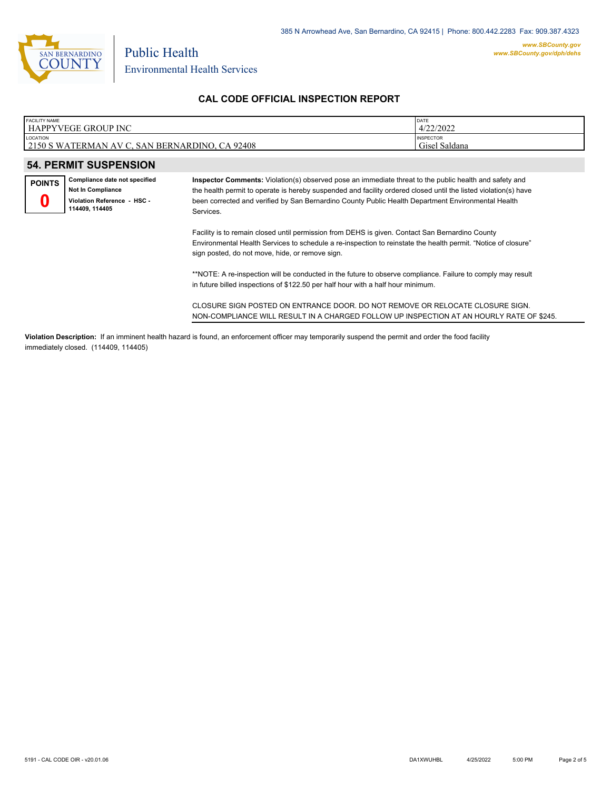

## **CAL CODE OFFICIAL INSPECTION REPORT**

| <b>FACILITY NAME</b><br>l HAPPYVEGE GROUP INC                     | DATE<br>4/22/2022                 |
|-------------------------------------------------------------------|-----------------------------------|
| <b>LOCATION</b><br>2150 S WATERMAN AV C, SAN BERNARDINO, CA 92408 | <b>INSPECTOR</b><br>Gisel Saldana |
|                                                                   |                                   |
| <b>54. PERMIT SUSPENSION</b>                                      |                                   |

| POINTS | Compliance date not specified                 |  |  |  |  |
|--------|-----------------------------------------------|--|--|--|--|
|        | Not In Compliance                             |  |  |  |  |
|        | Violation Reference - HSC -<br>114409, 114405 |  |  |  |  |

**Inspector Comments:** Violation(s) observed pose an immediate threat to the public health and safety and the health permit to operate is hereby suspended and facility ordered closed until the listed violation(s) have been corrected and verified by San Bernardino County Public Health Department Environmental Health Services.

Facility is to remain closed until permission from DEHS is given. Contact San Bernardino County Environmental Health Services to schedule a re-inspection to reinstate the health permit. "Notice of closure" sign posted, do not move, hide, or remove sign.

\*\*NOTE: A re-inspection will be conducted in the future to observe compliance. Failure to comply may result in future billed inspections of \$122.50 per half hour with a half hour minimum.

CLOSURE SIGN POSTED ON ENTRANCE DOOR. DO NOT REMOVE OR RELOCATE CLOSURE SIGN. NON-COMPLIANCE WILL RESULT IN A CHARGED FOLLOW UP INSPECTION AT AN HOURLY RATE OF \$245.

**Violation Description:** If an imminent health hazard is found, an enforcement officer may temporarily suspend the permit and order the food facility immediately closed. (114409, 114405)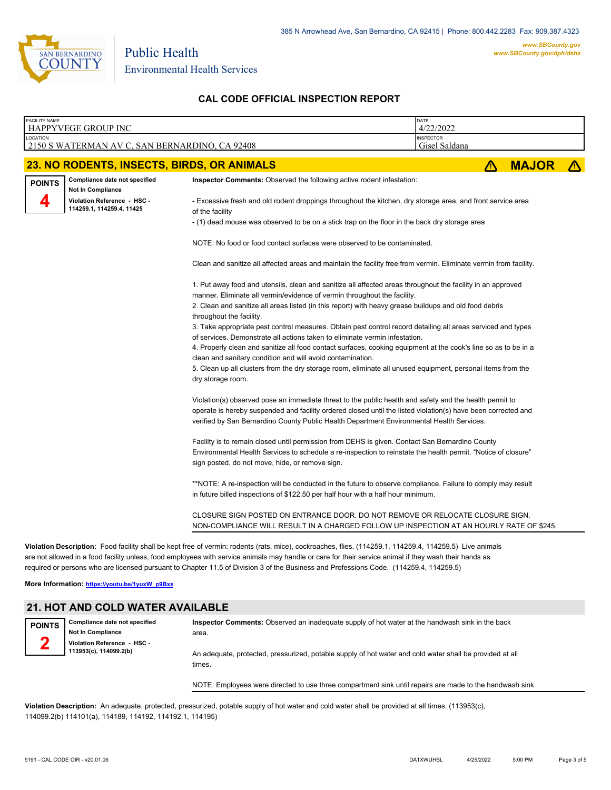

Public Health Environmental Health Services

## **CAL CODE OFFICIAL INSPECTION REPORT**

| <b>FACILITY NAME</b> | <b>HAPPYVEGE GROUP INC</b>                                | DATE<br>4/22/2022                                                                                                                                                                                                                                                                                                                                                                                                                                            |  |   |              |  |  |  |  |
|----------------------|-----------------------------------------------------------|--------------------------------------------------------------------------------------------------------------------------------------------------------------------------------------------------------------------------------------------------------------------------------------------------------------------------------------------------------------------------------------------------------------------------------------------------------------|--|---|--------------|--|--|--|--|
| LOCATION             | 2150 S WATERMAN AV C, SAN BERNARDINO, CA 92408            | <b>INSPECTOR</b><br>Gisel Saldana                                                                                                                                                                                                                                                                                                                                                                                                                            |  |   |              |  |  |  |  |
|                      |                                                           |                                                                                                                                                                                                                                                                                                                                                                                                                                                              |  |   |              |  |  |  |  |
|                      | 23. NO RODENTS, INSECTS, BIRDS, OR ANIMALS                |                                                                                                                                                                                                                                                                                                                                                                                                                                                              |  | Λ | <b>MAJOR</b> |  |  |  |  |
| <b>POINTS</b>        | Compliance date not specified<br><b>Not In Compliance</b> | Inspector Comments: Observed the following active rodent infestation:                                                                                                                                                                                                                                                                                                                                                                                        |  |   |              |  |  |  |  |
| Д                    | Violation Reference - HSC -<br>114259.1, 114259.4, 11425  | - Excessive fresh and old rodent droppings throughout the kitchen, dry storage area, and front service area<br>of the facility                                                                                                                                                                                                                                                                                                                               |  |   |              |  |  |  |  |
|                      |                                                           | - (1) dead mouse was observed to be on a stick trap on the floor in the back dry storage area                                                                                                                                                                                                                                                                                                                                                                |  |   |              |  |  |  |  |
|                      |                                                           | NOTE: No food or food contact surfaces were observed to be contaminated.                                                                                                                                                                                                                                                                                                                                                                                     |  |   |              |  |  |  |  |
|                      |                                                           | Clean and sanitize all affected areas and maintain the facility free from vermin. Eliminate vermin from facility.                                                                                                                                                                                                                                                                                                                                            |  |   |              |  |  |  |  |
|                      |                                                           | 1. Put away food and utensils, clean and sanitize all affected areas throughout the facility in an approved<br>manner. Eliminate all vermin/evidence of vermin throughout the facility.                                                                                                                                                                                                                                                                      |  |   |              |  |  |  |  |
|                      |                                                           | 2. Clean and sanitize all areas listed (in this report) with heavy grease buildups and old food debris<br>throughout the facility.                                                                                                                                                                                                                                                                                                                           |  |   |              |  |  |  |  |
|                      |                                                           | 3. Take appropriate pest control measures. Obtain pest control record detailing all areas serviced and types<br>of services. Demonstrate all actions taken to eliminate vermin infestation.                                                                                                                                                                                                                                                                  |  |   |              |  |  |  |  |
|                      |                                                           | 4. Properly clean and sanitize all food contact surfaces, cooking equipment at the cook's line so as to be in a                                                                                                                                                                                                                                                                                                                                              |  |   |              |  |  |  |  |
|                      |                                                           | clean and sanitary condition and will avoid contamination.<br>5. Clean up all clusters from the dry storage room, eliminate all unused equipment, personal items from the<br>dry storage room.                                                                                                                                                                                                                                                               |  |   |              |  |  |  |  |
|                      |                                                           | Violation(s) observed pose an immediate threat to the public health and safety and the health permit to<br>operate is hereby suspended and facility ordered closed until the listed violation(s) have been corrected and<br>verified by San Bernardino County Public Health Department Environmental Health Services.                                                                                                                                        |  |   |              |  |  |  |  |
|                      |                                                           | Facility is to remain closed until permission from DEHS is given. Contact San Bernardino County<br>Environmental Health Services to schedule a re-inspection to reinstate the health permit. "Notice of closure"<br>sign posted, do not move, hide, or remove sign.                                                                                                                                                                                          |  |   |              |  |  |  |  |
|                      |                                                           | *NOTE: A re-inspection will be conducted in the future to observe compliance. Failure to comply may result<br>in future billed inspections of \$122.50 per half hour with a half hour minimum.                                                                                                                                                                                                                                                               |  |   |              |  |  |  |  |
|                      |                                                           | CLOSURE SIGN POSTED ON ENTRANCE DOOR. DO NOT REMOVE OR RELOCATE CLOSURE SIGN.<br>NON-COMPLIANCE WILL RESULT IN A CHARGED FOLLOW UP INSPECTION AT AN HOURLY RATE OF \$245.                                                                                                                                                                                                                                                                                    |  |   |              |  |  |  |  |
|                      |                                                           | Violation Description: Food facility shall be kept free of vermin: rodents (rats, mice), cockroaches, flies. (114259.1, 114259.4, 114259.5) Live animals<br>are not allowed in a food facility unless, food employees with service animals may handle or care for their service animal if they wash their hands as<br>required or persons who are licensed pursuant to Chapter 11.5 of Division 3 of the Business and Professions Code. (114259.4, 114259.5) |  |   |              |  |  |  |  |
|                      | More Information: https://youtu.be/1yuxW_p9Bxs            |                                                                                                                                                                                                                                                                                                                                                                                                                                                              |  |   |              |  |  |  |  |
|                      | <b>21. HOT AND COLD WATER AVAILABLE</b>                   |                                                                                                                                                                                                                                                                                                                                                                                                                                                              |  |   |              |  |  |  |  |

**Compliance date not specified Not In Compliance Violation Reference - HSC - 113953(c), 114099.2(b) POINTS**

**Inspector Comments:** Observed an inadequate supply of hot water at the handwash sink in the back area. An adequate, protected, pressurized, potable supply of hot water and cold water shall be provided at all times.

NOTE: Employees were directed to use three compartment sink until repairs are made to the handwash sink.

**Violation Description:** An adequate, protected, pressurized, potable supply of hot water and cold water shall be provided at all times. (113953(c), 114099.2(b) 114101(a), 114189, 114192, 114192.1, 114195)

**2**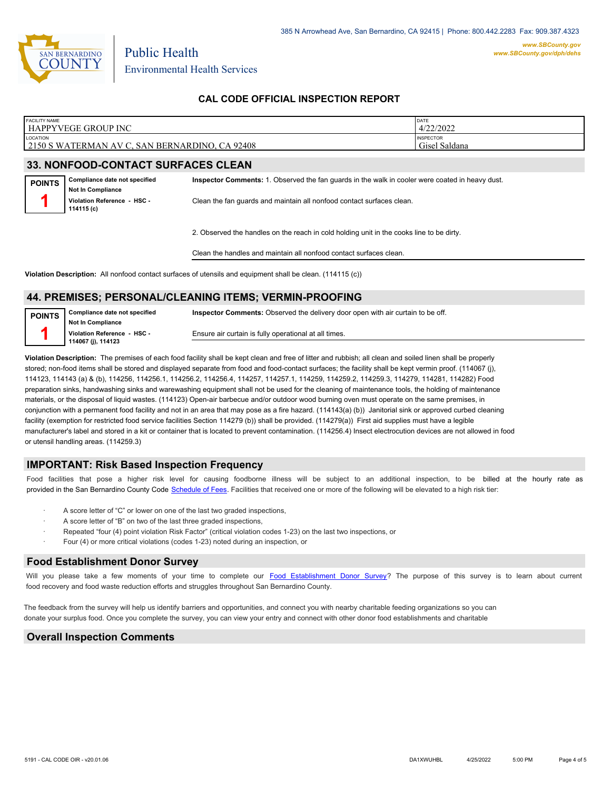

## **CAL CODE OFFICIAL INSPECTION REPORT**

| <b>FACILITY NAME</b> | HAPPYVEGE GROUP INC                                       |                                                                                                 | DATE<br>4/22/2022 |  |  |
|----------------------|-----------------------------------------------------------|-------------------------------------------------------------------------------------------------|-------------------|--|--|
| LOCATION             | 2150 S WATERMAN AV C, SAN BERNARDINO, CA 92408            | <b>INSPECTOR</b><br>Gisel Saldana                                                               |                   |  |  |
|                      | <b>33. NONFOOD-CONTACT SURFACES CLEAN</b>                 |                                                                                                 |                   |  |  |
| <b>POINTS</b>        | Compliance date not specified<br><b>Not In Compliance</b> | Inspector Comments: 1. Observed the fan quards in the walk in cooler were coated in heavy dust. |                   |  |  |
|                      | Violation Reference - HSC -<br>114115 (c)                 | Clean the fan quards and maintain all nonfood contact surfaces clean.                           |                   |  |  |
|                      |                                                           | 2. Observed the handles on the reach in cold holding unit in the cooks line to be dirty.        |                   |  |  |
|                      |                                                           | Clean the handles and maintain all nonfood contact surfaces clean.                              |                   |  |  |

**Violation Description:** All nonfood contact surfaces of utensils and equipment shall be clean. (114115 (c))

#### **44. PREMISES; PERSONAL/CLEANING ITEMS; VERMIN-PROOFING**

| POINTS | Compliance date not specified | <b>Inspector Comments:</b> Observed the delivery door open with air curtain to be off. |  |  |  |  |
|--------|-------------------------------|----------------------------------------------------------------------------------------|--|--|--|--|
|        | <b>Not In Compliance</b>      |                                                                                        |  |  |  |  |
|        | Violation Reference - HSC -   | Ensure air curtain is fully operational at all times.                                  |  |  |  |  |
|        | 114067 (j), 114123            |                                                                                        |  |  |  |  |

**Violation Description:** The premises of each food facility shall be kept clean and free of litter and rubbish; all clean and soiled linen shall be properly stored; non-food items shall be stored and displayed separate from food and food-contact surfaces; the facility shall be kept vermin proof. (114067 (j), 114123, 114143 (a) & (b), 114256, 114256.1, 114256.2, 114256.4, 114257, 114257.1, 114259, 114259.2, 114259.3, 114279, 114281, 114282) Food preparation sinks, handwashing sinks and warewashing equipment shall not be used for the cleaning of maintenance tools, the holding of maintenance materials, or the disposal of liquid wastes. (114123) Open-air barbecue and/or outdoor wood burning oven must operate on the same premises, in conjunction with a permanent food facility and not in an area that may pose as a fire hazard. (114143(a) (b)) Janitorial sink or approved curbed cleaning facility (exemption for restricted food service facilities Section 114279 (b)) shall be provided. (114279(a)) First aid supplies must have a legible manufacturer's label and stored in a kit or container that is located to prevent contamination. (114256.4) Insect electrocution devices are not allowed in food or utensil handling areas. (114259.3)

#### **IMPORTANT: Risk Based Inspection Frequency**

Food facilities that pose a higher risk level for causing foodborne illness will be subject to an additional inspection, to be billed at the hourly rate as provided in the San Bernardi[no County Code Schedule of Fees](https://codelibrary.amlegal.com/codes/sanbernardino/latest/sanberncty_ca/0-0-0-122474#JD_16.0213B). Facilities that received one or more of the following will be elevated to a high risk tier:

- A score letter of "C" or lower on one of the last two graded inspections,
- A score letter of "B" on two of the last three graded inspections,
- Repeated "four (4) point violation Risk Factor" (critical violation codes 1-23) on the last two inspections, or
- Four (4) or more critical violations (codes 1-23) noted during an inspection, or

#### **Food Establishment Donor Survey**

Will you please take a few moments of your time to complete our **Food Establishment Donor Survey**? The purpose of this survey is to learn about current food recovery and food waste reduction efforts and struggles throughout San Bernardino County.

The feedback from the survey will help us identify barriers and opportunities, and connect you with nearby charitable feeding organizations so you can donate your surplus fo[od. Once you complete the su](https://arcg.is/WvjGb)rvey, you can view your entry and connect with other donor food establishments and charitable

#### **Overall Inspection Comments**